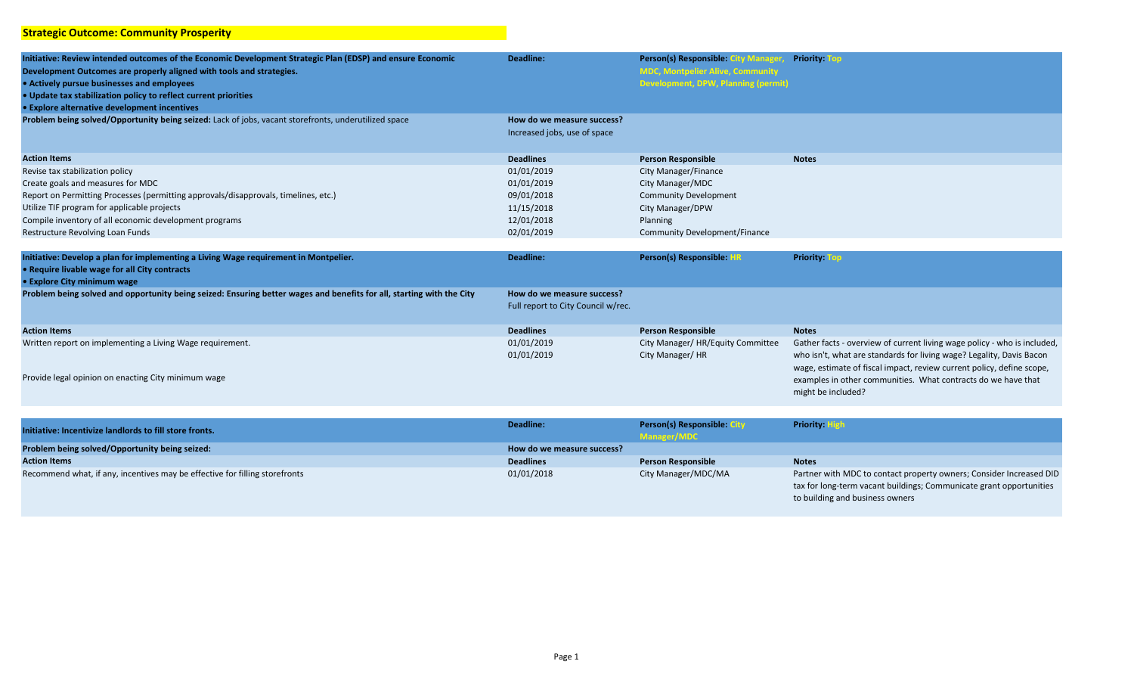#### **Strategic Outcome: Community Prosperity**

| Initiative: Review intended outcomes of the Economic Development Strategic Plan (EDSP) and ensure Economic<br>Development Outcomes are properly aligned with tools and strategies.<br>• Actively pursue businesses and employees<br>. Update tax stabilization policy to reflect current priorities<br>• Explore alternative development incentives | <b>Deadline:</b>                                                 | Person(s) Responsible: City Manager, Priority: Top<br><b>MDC, Montpelier Alive, Community</b><br><b>Development, DPW, Planning (permit)</b> |                                                                                                                                                                                                                           |
|-----------------------------------------------------------------------------------------------------------------------------------------------------------------------------------------------------------------------------------------------------------------------------------------------------------------------------------------------------|------------------------------------------------------------------|---------------------------------------------------------------------------------------------------------------------------------------------|---------------------------------------------------------------------------------------------------------------------------------------------------------------------------------------------------------------------------|
| Problem being solved/Opportunity being seized: Lack of jobs, vacant storefronts, underutilized space                                                                                                                                                                                                                                                | How do we measure success?<br>Increased jobs, use of space       |                                                                                                                                             |                                                                                                                                                                                                                           |
| <b>Action Items</b>                                                                                                                                                                                                                                                                                                                                 | <b>Deadlines</b>                                                 | <b>Person Responsible</b>                                                                                                                   | <b>Notes</b>                                                                                                                                                                                                              |
| Revise tax stabilization policy                                                                                                                                                                                                                                                                                                                     | 01/01/2019                                                       | <b>City Manager/Finance</b>                                                                                                                 |                                                                                                                                                                                                                           |
| Create goals and measures for MDC                                                                                                                                                                                                                                                                                                                   | 01/01/2019                                                       | City Manager/MDC                                                                                                                            |                                                                                                                                                                                                                           |
| Report on Permitting Processes (permitting approvals/disapprovals, timelines, etc.)                                                                                                                                                                                                                                                                 | 09/01/2018                                                       | <b>Community Development</b>                                                                                                                |                                                                                                                                                                                                                           |
| Utilize TIF program for applicable projects                                                                                                                                                                                                                                                                                                         | 11/15/2018                                                       | City Manager/DPW                                                                                                                            |                                                                                                                                                                                                                           |
| Compile inventory of all economic development programs                                                                                                                                                                                                                                                                                              | 12/01/2018                                                       | Planning                                                                                                                                    |                                                                                                                                                                                                                           |
| Restructure Revolving Loan Funds                                                                                                                                                                                                                                                                                                                    | 02/01/2019                                                       | <b>Community Development/Finance</b>                                                                                                        |                                                                                                                                                                                                                           |
| Initiative: Develop a plan for implementing a Living Wage requirement in Montpelier.<br>• Require livable wage for all City contracts<br>• Explore City minimum wage                                                                                                                                                                                | <b>Deadline:</b>                                                 | Person(s) Responsible: HR                                                                                                                   | <b>Priority: Top</b>                                                                                                                                                                                                      |
| Problem being solved and opportunity being seized: Ensuring better wages and benefits for all, starting with the City                                                                                                                                                                                                                               | How do we measure success?<br>Full report to City Council w/rec. |                                                                                                                                             |                                                                                                                                                                                                                           |
| <b>Action Items</b>                                                                                                                                                                                                                                                                                                                                 | <b>Deadlines</b>                                                 | <b>Person Responsible</b>                                                                                                                   | <b>Notes</b>                                                                                                                                                                                                              |
| Written report on implementing a Living Wage requirement.                                                                                                                                                                                                                                                                                           | 01/01/2019<br>01/01/2019                                         | City Manager/ HR/Equity Committee<br>City Manager/HR                                                                                        | Gather facts - overview of current living wage policy - who is included,<br>who isn't, what are standards for living wage? Legality, Davis Bacon<br>wage, estimate of fiscal impact, review current policy, define scope, |
| Provide legal opinion on enacting City minimum wage                                                                                                                                                                                                                                                                                                 |                                                                  |                                                                                                                                             | examples in other communities. What contracts do we have that<br>might be included?                                                                                                                                       |

| Initiative: Incentivize landlords to fill store fronts.                     | Deadline:                  | <b>Person(s) Responsible:</b> | <b>Priority: H</b>                                                  |
|-----------------------------------------------------------------------------|----------------------------|-------------------------------|---------------------------------------------------------------------|
|                                                                             |                            | <b>Manager/MDC</b>            |                                                                     |
| Problem being solved/Opportunity being seized:                              | How do we measure success? |                               |                                                                     |
| <b>Action Items</b>                                                         | <b>Deadlines</b>           | <b>Person Responsible</b>     | <b>Notes</b>                                                        |
| Recommend what, if any, incentives may be effective for filling storefronts | 01/01/2018                 | City Manager/MDC/MA           | Partner with MDC to contact property owners; Consider Increased DID |
|                                                                             |                            |                               | tax for long-term vacant buildings; Communicate grant opportunities |
|                                                                             |                            |                               | to building and business owners                                     |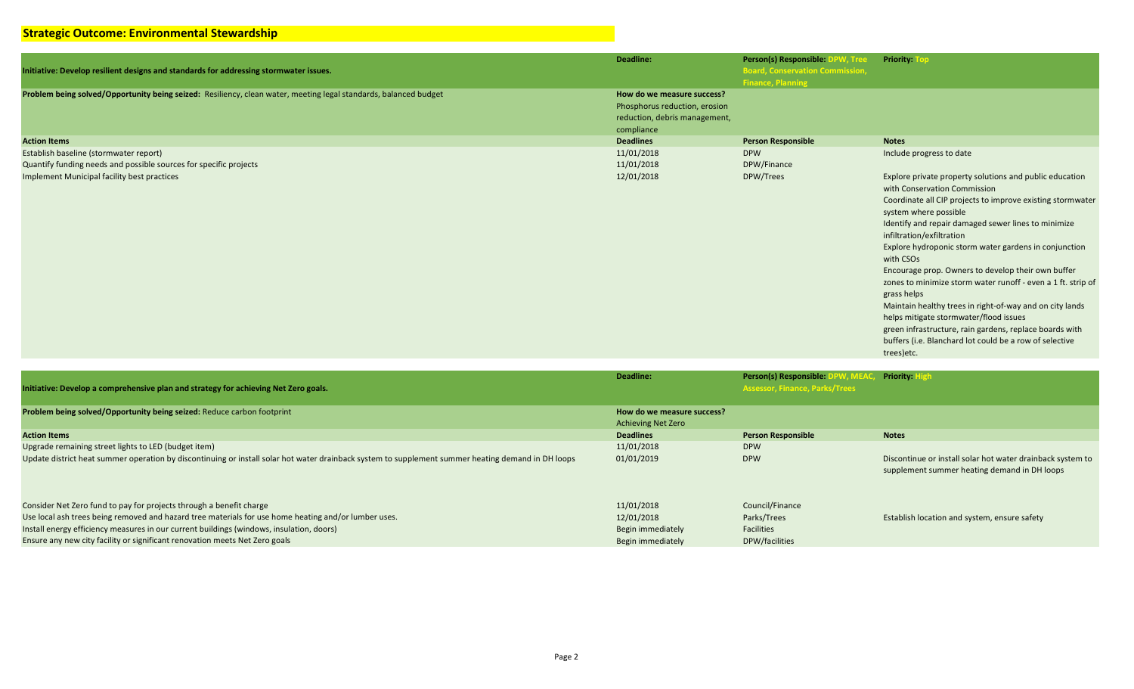## Strategic Outcome: Environmental Stewardship

| Initiative: Develop resilient designs and standards for addressing stormwater issues.<br>Problem being solved/Opportunity being seized: Resiliency, clean water, meeting legal standards, balanced budget | Deadline:<br>How do we measure success?<br>Phosphorus reduction, erosion<br>reduction, debris management,<br>compliance | <b>Person(s) Responsible: D</b><br>W. Tree<br><b>Board, Conservation Commission,</b><br><b>Finance, Planning</b> | <b>Priority:</b>                                                                                                                                                                                                                                                                                                                                                                                                                                                                                                                                                                                                                                                                                                        |
|-----------------------------------------------------------------------------------------------------------------------------------------------------------------------------------------------------------|-------------------------------------------------------------------------------------------------------------------------|------------------------------------------------------------------------------------------------------------------|-------------------------------------------------------------------------------------------------------------------------------------------------------------------------------------------------------------------------------------------------------------------------------------------------------------------------------------------------------------------------------------------------------------------------------------------------------------------------------------------------------------------------------------------------------------------------------------------------------------------------------------------------------------------------------------------------------------------------|
| <b>Action Items</b>                                                                                                                                                                                       | <b>Deadlines</b>                                                                                                        | <b>Person Responsible</b>                                                                                        | <b>Notes</b>                                                                                                                                                                                                                                                                                                                                                                                                                                                                                                                                                                                                                                                                                                            |
| Establish baseline (stormwater report)<br>Quantify funding needs and possible sources for specific projects                                                                                               | 11/01/2018<br>11/01/2018                                                                                                | <b>DPW</b><br>DPW/Finance                                                                                        | Include progress to date                                                                                                                                                                                                                                                                                                                                                                                                                                                                                                                                                                                                                                                                                                |
| Implement Municipal facility best practices                                                                                                                                                               | 12/01/2018                                                                                                              | DPW/Trees                                                                                                        | Explore private property solutions and public education<br>with Conservation Commission<br>Coordinate all CIP projects to improve existing stormwater<br>system where possible<br>Identify and repair damaged sewer lines to minimize<br>infiltration/exfiltration<br>Explore hydroponic storm water gardens in conjunction<br>with CSOs<br>Encourage prop. Owners to develop their own buffer<br>zones to minimize storm water runoff - even a 1 ft. strip of<br>grass helps<br>Maintain healthy trees in right-of-way and on city lands<br>helps mitigate stormwater/flood issues<br>green infrastructure, rain gardens, replace boards with<br>buffers (i.e. Blanchard lot could be a row of selective<br>trees)etc. |

|                                                                                                                                                    | Deadline:                  | Person(s) Responsible: DPW, MEAC,     | <b>Priority: Hi</b>                                        |
|----------------------------------------------------------------------------------------------------------------------------------------------------|----------------------------|---------------------------------------|------------------------------------------------------------|
| Initiative: Develop a comprehensive plan and strategy for achieving Net Zero goals.                                                                |                            | <b>Assessor, Finance, Parks/Trees</b> |                                                            |
| Problem being solved/Opportunity being seized: Reduce carbon footprint                                                                             | How do we measure success? |                                       |                                                            |
|                                                                                                                                                    | <b>Achieving Net Zero</b>  |                                       |                                                            |
| <b>Action Items</b>                                                                                                                                | <b>Deadlines</b>           | <b>Person Responsible</b>             | <b>Notes</b>                                               |
| Upgrade remaining street lights to LED (budget item)                                                                                               | 11/01/2018                 | <b>DPW</b>                            |                                                            |
| Update district heat summer operation by discontinuing or install solar hot water drainback system to supplement summer heating demand in DH loops | 01/01/2019                 | <b>DPW</b>                            | Discontinue or install solar hot water drainback system to |
|                                                                                                                                                    |                            |                                       | supplement summer heating demand in DH loops               |
|                                                                                                                                                    |                            |                                       |                                                            |
| Consider Net Zero fund to pay for projects through a benefit charge                                                                                | 11/01/2018                 | Council/Finance                       |                                                            |
| Use local ash trees being removed and hazard tree materials for use home heating and/or lumber uses.                                               | 12/01/2018                 | Parks/Trees                           | Establish location and system, ensure safety               |
| Install energy efficiency measures in our current buildings (windows, insulation, doors)                                                           | Begin immediately          | <b>Facilities</b>                     |                                                            |
| Ensure any new city facility or significant renovation meets Net Zero goals                                                                        | Begin immediately          | DPW/facilities                        |                                                            |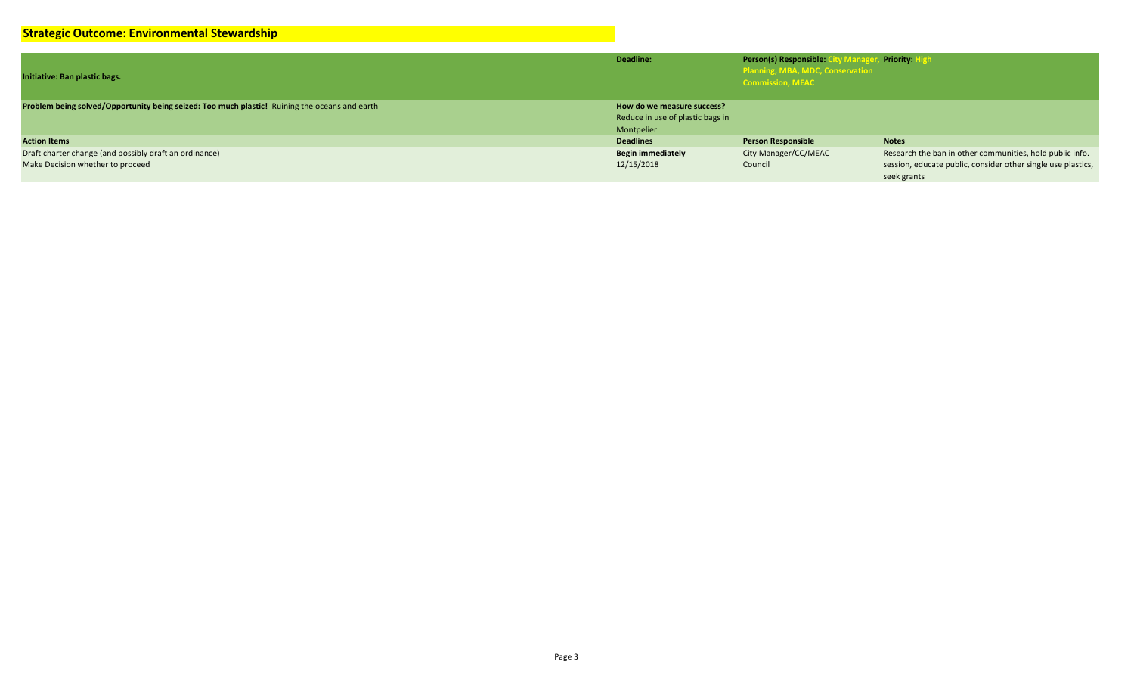#### Strategic Outcome: Environmental Stewardship Initiative: Ban plastic bags. Deadline: Person(s) Responsible: City Manager, Priority: High Planning, MBA, MDC, Conservation Commission, MEAC Problem being solved/Opportunity being seized: Too much plastic! Ruining the oceans and earth How do we measure success? Reduce in use of plastic bags in Montpelier Action Items Deadlines Person Responsible Notes Draft charter change (and possibly draft an ordinance) and the control of the control of the city Manager/CC/MEAC city Manager/CC/MEAC city Manager/CC/MEAC city Manager/CC/MEAC city Manager/CC/MEAC city Manager/CC/MEAC cit Make Decision whether to proceed 12/15/2018 Council Research the ban in other communities, hold public info. session, educate public, consider other single use plastics, seek grants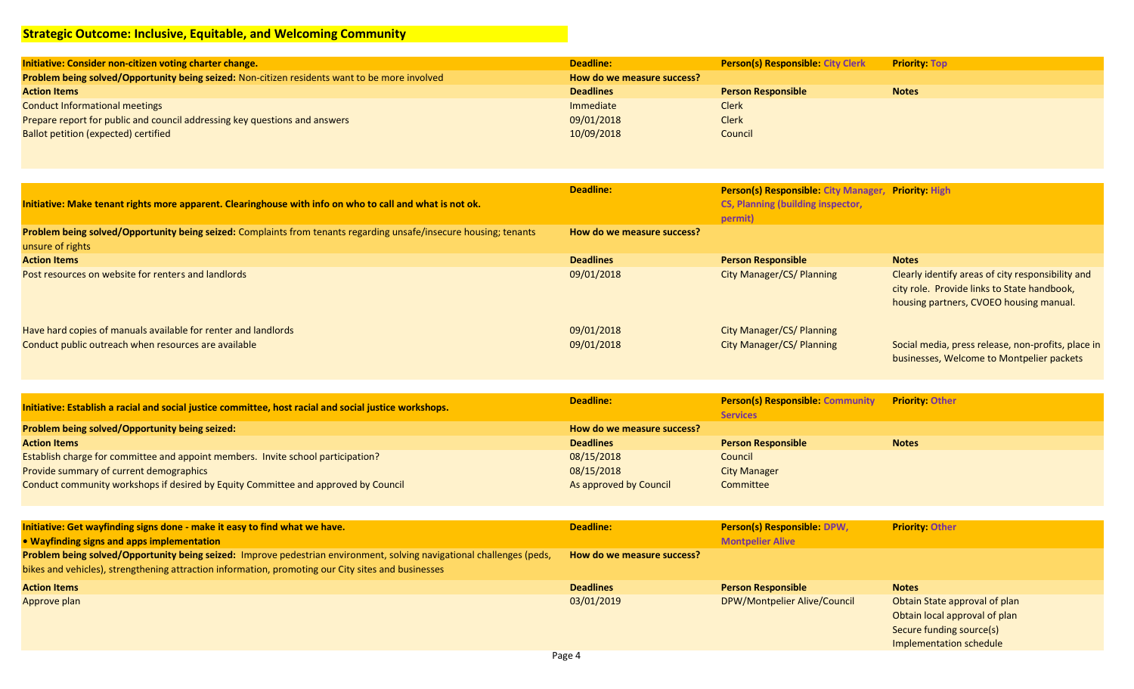# **Strategic Outcome: Inclusive, Equitable, and Welcoming Community**

| Initiative: Consider non-citizen voting charter change.                                       | Deadline:                  | <b>Person(s) Responsible: City Clerk</b> | <b>Priority: Top</b> |
|-----------------------------------------------------------------------------------------------|----------------------------|------------------------------------------|----------------------|
| Problem being solved/Opportunity being seized: Non-citizen residents want to be more involved | How do we measure success? |                                          |                      |
| <b>Action Items</b>                                                                           | <b>Deadlines</b>           | <b>Person Responsible</b>                | <b>Notes</b>         |
| <b>Conduct Informational meetings</b>                                                         | Immediate                  | <b>Clerk</b>                             |                      |
| Prepare report for public and council addressing key questions and answers                    | 09/01/2018                 | <b>Clerk</b>                             |                      |
| <b>Ballot petition (expected) certified</b>                                                   | 10/09/2018                 | Council                                  |                      |
|                                                                                               |                            |                                          |                      |

| Initiative: Make tenant rights more apparent. Clearinghouse with info on who to call and what is not ok.          | Deadline:                  | Person(s) Responsible: City Manager, Priority: High<br><b>CS, Planning (building inspector,</b><br>permit) |                                                                                                                                             |
|-------------------------------------------------------------------------------------------------------------------|----------------------------|------------------------------------------------------------------------------------------------------------|---------------------------------------------------------------------------------------------------------------------------------------------|
| Problem being solved/Opportunity being seized: Complaints from tenants regarding unsafe/insecure housing; tenants | How do we measure success? |                                                                                                            |                                                                                                                                             |
| unsure of rights                                                                                                  |                            |                                                                                                            |                                                                                                                                             |
| <b>Action Items</b>                                                                                               | <b>Deadlines</b>           | <b>Person Responsible</b>                                                                                  | <b>Notes</b>                                                                                                                                |
| Post resources on website for renters and landlords                                                               | 09/01/2018                 | <b>City Manager/CS/ Planning</b>                                                                           | Clearly identify areas of city responsibility and<br>city role. Provide links to State handbook,<br>housing partners, CVOEO housing manual. |
| Have hard copies of manuals available for renter and landlords                                                    | 09/01/2018                 | City Manager/CS/ Planning                                                                                  |                                                                                                                                             |
| Conduct public outreach when resources are available                                                              | 09/01/2018                 | <b>City Manager/CS/ Planning</b>                                                                           | Social media, press release, non-profits, place in<br>businesses, Welcome to Montpelier packets                                             |

| Initiative: Establish a racial and social justice committee, host racial and social justice workshops. | Deadline:                  | <b>Person(s) Responsible: Community Priority: Other</b><br><b>Services</b> |              |
|--------------------------------------------------------------------------------------------------------|----------------------------|----------------------------------------------------------------------------|--------------|
| Problem being solved/Opportunity being seized:                                                         | How do we measure success? |                                                                            |              |
| <b>Action Items</b>                                                                                    | <b>Deadlines</b>           | <b>Person Responsible</b>                                                  | <b>Notes</b> |
| Establish charge for committee and appoint members. Invite school participation?                       | 08/15/2018                 | Council                                                                    |              |
| <b>Provide summary of current demographics</b>                                                         | 08/15/2018                 | <b>City Manager</b>                                                        |              |
| Conduct community workshops if desired by Equity Committee and approved by Council                     | As approved by Council     | Committee                                                                  |              |

| Initiative: Get wayfinding signs done - make it easy to find what we have.<br>. Wayfinding signs and apps implementation                                                                                                    | <b>Deadline:</b>           | <b>Person(s) Responsible: DPW,</b><br><b>Montpelier Alive</b> | <b>Priority: Other</b>                                                                                                |
|-----------------------------------------------------------------------------------------------------------------------------------------------------------------------------------------------------------------------------|----------------------------|---------------------------------------------------------------|-----------------------------------------------------------------------------------------------------------------------|
| Problem being solved/Opportunity being seized: Improve pedestrian environment, solving navigational challenges (peds,<br>bikes and vehicles), strengthening attraction information, promoting our City sites and businesses | How do we measure success? |                                                               |                                                                                                                       |
| <b>Action Items</b>                                                                                                                                                                                                         | <b>Deadlines</b>           | <b>Person Responsible</b>                                     | <b>Notes</b>                                                                                                          |
| Approve plan                                                                                                                                                                                                                | 03/01/2019                 | DPW/Montpelier Alive/Council                                  | Obtain State approval of plan<br>Obtain local approval of plan<br>Secure funding source(s)<br>Implementation schedule |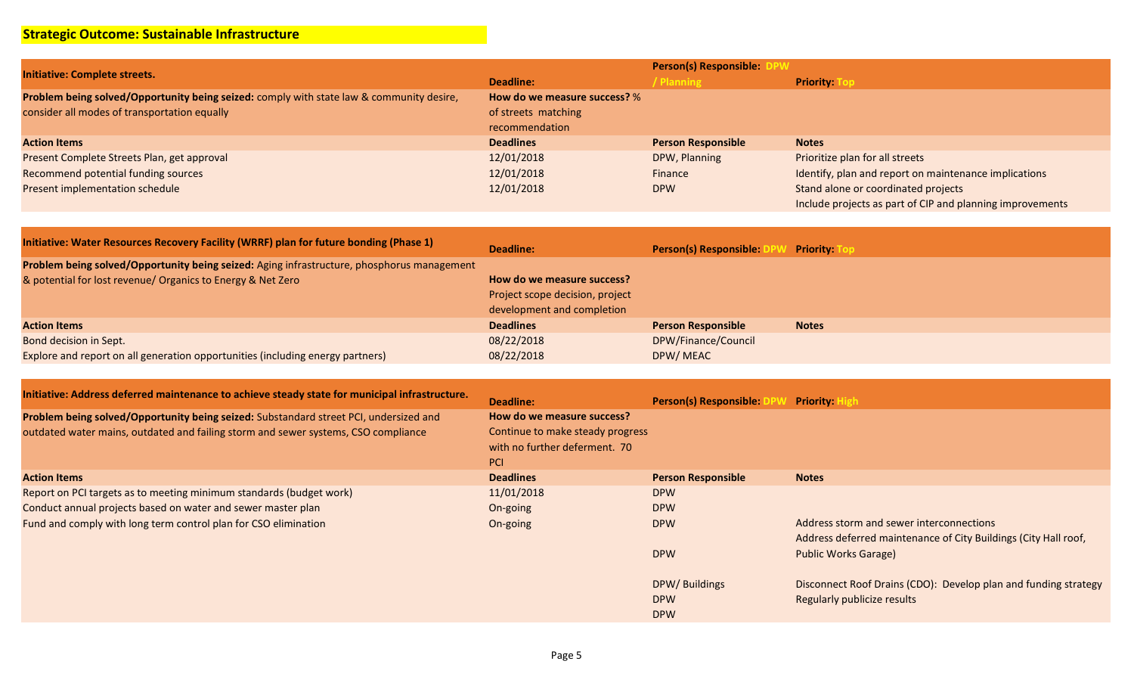# Strategic Outcome: Sustainable Infrastructure

|                                                                                          | <b>Person(s) Responsible:</b> |                           |                                                           |
|------------------------------------------------------------------------------------------|-------------------------------|---------------------------|-----------------------------------------------------------|
| <b>Initiative: Complete streets.</b>                                                     | Deadline:                     | / Planning                | <b>Priority: T</b>                                        |
| Problem being solved/Opportunity being seized: comply with state law & community desire, | How do we measure success? %  |                           |                                                           |
| consider all modes of transportation equally                                             | of streets matching           |                           |                                                           |
|                                                                                          | recommendation                |                           |                                                           |
| <b>Action Items</b>                                                                      | <b>Deadlines</b>              | <b>Person Responsible</b> | <b>Notes</b>                                              |
| Present Complete Streets Plan, get approval                                              | 12/01/2018                    | DPW, Planning             | Prioritize plan for all streets                           |
| Recommend potential funding sources                                                      | 12/01/2018                    | Finance                   | Identify, plan and report on maintenance implications     |
| <b>Present implementation schedule</b>                                                   | 12/01/2018                    | <b>DPW</b>                | Stand alone or coordinated projects                       |
|                                                                                          |                               |                           | Include projects as part of CIP and planning improvements |

| Initiative: Water Resources Recovery Facility (WRRF) plan for future bonding (Phase 1)     | <b>Deadline:</b>                | <b>Person(s) Responsible: D</b> | <b>Priority:</b> |
|--------------------------------------------------------------------------------------------|---------------------------------|---------------------------------|------------------|
| Problem being solved/Opportunity being seized: Aging infrastructure, phosphorus management |                                 |                                 |                  |
| & potential for lost revenue/ Organics to Energy & Net Zero                                | How do we measure success?      |                                 |                  |
|                                                                                            | Project scope decision, project |                                 |                  |
|                                                                                            | development and completion      |                                 |                  |
| <b>Action Items</b>                                                                        | <b>Deadlines</b>                | <b>Person Responsible</b>       | <b>Notes</b>     |
| Bond decision in Sept.                                                                     | 08/22/2018                      | DPW/Finance/Council             |                  |
| Explore and report on all generation opportunities (including energy partners)             | 08/22/2018                      | DPW/MEAC                        |                  |

| Initiative: Address deferred maintenance to achieve steady state for municipal infrastructure. | Deadline:                        | <b>Person(s) Responsible:</b> | <b>Priority:</b>                                                |
|------------------------------------------------------------------------------------------------|----------------------------------|-------------------------------|-----------------------------------------------------------------|
| Problem being solved/Opportunity being seized: Substandard street PCI, undersized and          | How do we measure success?       |                               |                                                                 |
| outdated water mains, outdated and failing storm and sewer systems, CSO compliance             | Continue to make steady progress |                               |                                                                 |
|                                                                                                | with no further deferment. 70    |                               |                                                                 |
|                                                                                                | <b>PCI</b>                       |                               |                                                                 |
| <b>Action Items</b>                                                                            | <b>Deadlines</b>                 | <b>Person Responsible</b>     | <b>Notes</b>                                                    |
| Report on PCI targets as to meeting minimum standards (budget work)                            | 11/01/2018                       | <b>DPW</b>                    |                                                                 |
| Conduct annual projects based on water and sewer master plan                                   | On-going                         | <b>DPW</b>                    |                                                                 |
| Fund and comply with long term control plan for CSO elimination                                | On-going                         | <b>DPW</b>                    | Address storm and sewer interconnections                        |
|                                                                                                |                                  |                               | Address deferred maintenance of City Buildings (City Hall roof, |
|                                                                                                |                                  | <b>DPW</b>                    | <b>Public Works Garage)</b>                                     |
|                                                                                                |                                  | DPW/Buildings                 | Disconnect Roof Drains (CDO): Develop plan and funding strategy |
|                                                                                                |                                  | <b>DPW</b>                    | Regularly publicize results                                     |
|                                                                                                |                                  | <b>DPW</b>                    |                                                                 |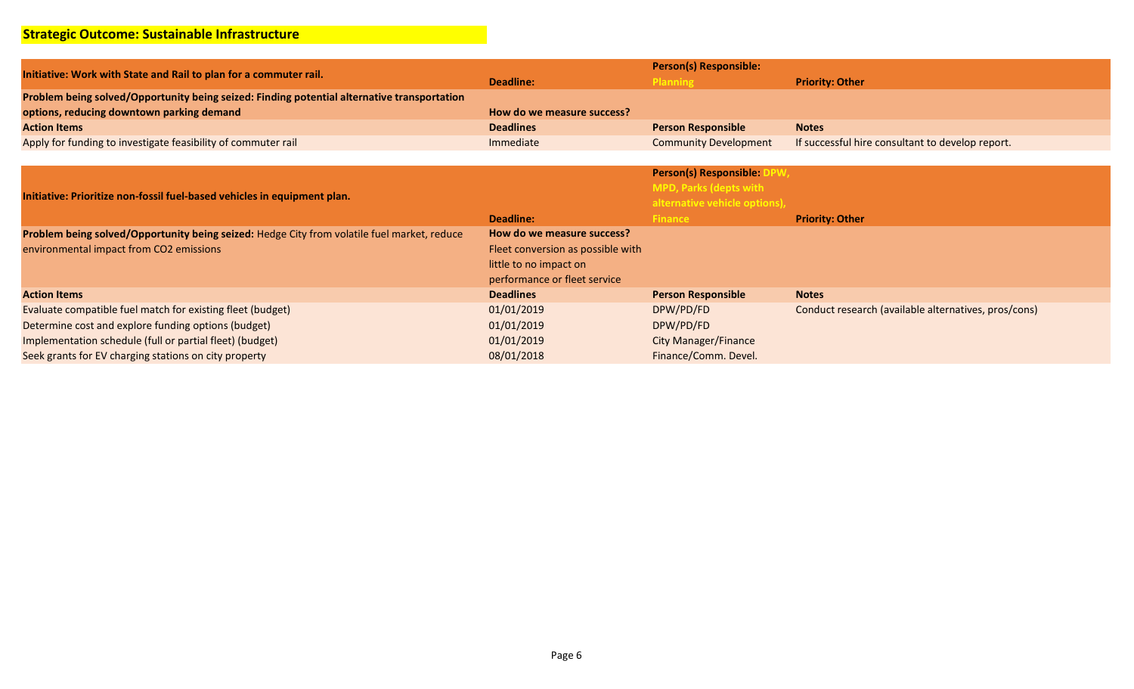# Strategic Outcome: Sustainable Infrastructure

| Initiative: Work with State and Rail to plan for a commuter rail.                           |                            | <b>Person(s) Responsible:</b> |                                                  |  |  |
|---------------------------------------------------------------------------------------------|----------------------------|-------------------------------|--------------------------------------------------|--|--|
|                                                                                             | Deadline:                  | <b>Planning</b>               | <b>Priority: Other</b>                           |  |  |
| Problem being solved/Opportunity being seized: Finding potential alternative transportation |                            |                               |                                                  |  |  |
| options, reducing downtown parking demand                                                   | How do we measure success? |                               |                                                  |  |  |
| <b>Action Items</b>                                                                         | <b>Deadlines</b>           | <b>Person Responsible</b>     | <b>Notes</b>                                     |  |  |
| Apply for funding to investigate feasibility of commuter rail                               | Immediate                  | <b>Community Development</b>  | If successful hire consultant to develop report. |  |  |

| Initiative: Prioritize non-fossil fuel-based vehicles in equipment plan.                                                               |                                                                 | <b>Person(s) Responsible: D</b><br><b>MPD, Parks (depts with</b><br>alternative vehicle options), |                                                      |
|----------------------------------------------------------------------------------------------------------------------------------------|-----------------------------------------------------------------|---------------------------------------------------------------------------------------------------|------------------------------------------------------|
|                                                                                                                                        | Deadline:                                                       | <b>Finance</b>                                                                                    | <b>Priority: Other</b>                               |
| Problem being solved/Opportunity being seized: Hedge City from volatile fuel market, reduce<br>environmental impact from CO2 emissions | How do we measure success?<br>Fleet conversion as possible with |                                                                                                   |                                                      |
| little to no impact on                                                                                                                 |                                                                 |                                                                                                   |                                                      |
|                                                                                                                                        | performance or fleet service                                    |                                                                                                   |                                                      |
| <b>Action Items</b>                                                                                                                    | <b>Deadlines</b>                                                | <b>Person Responsible</b>                                                                         | <b>Notes</b>                                         |
| Evaluate compatible fuel match for existing fleet (budget)                                                                             | 01/01/2019                                                      | DPW/PD/FD                                                                                         | Conduct research (available alternatives, pros/cons) |
| Determine cost and explore funding options (budget)                                                                                    | 01/01/2019                                                      | DPW/PD/FD                                                                                         |                                                      |
| Implementation schedule (full or partial fleet) (budget)                                                                               | 01/01/2019                                                      | <b>City Manager/Finance</b>                                                                       |                                                      |
| Seek grants for EV charging stations on city property                                                                                  | 08/01/2018                                                      | Finance/Comm. Devel.                                                                              |                                                      |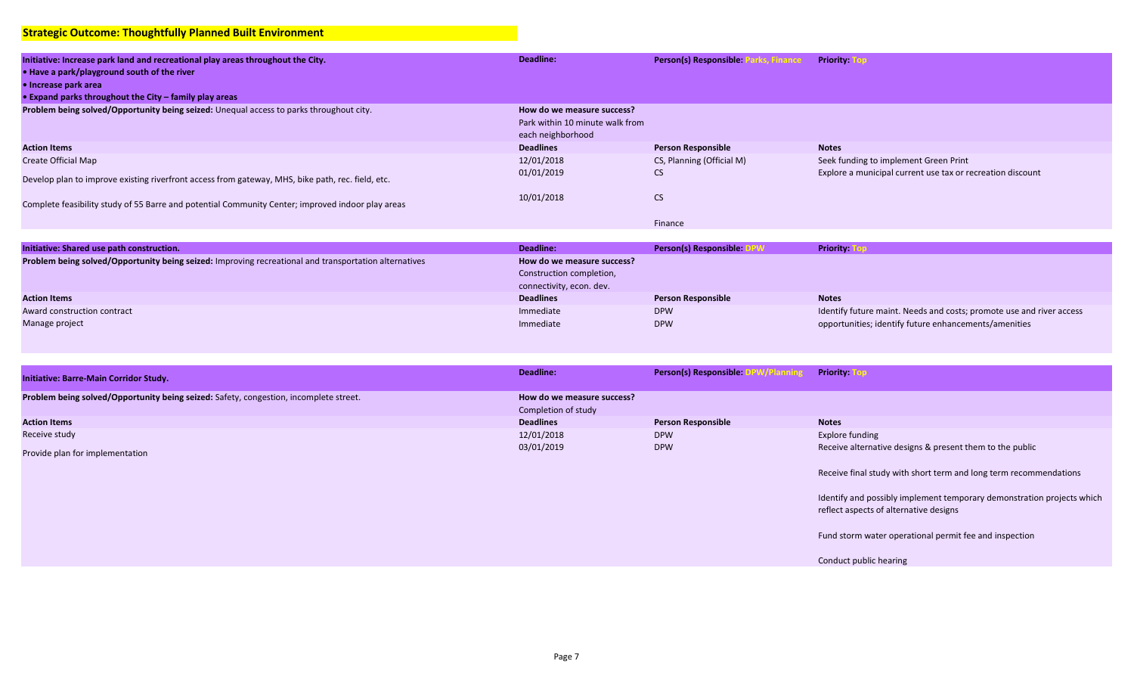## Strategic Outcome: Thoughtfully Planned Built Environment

| Initiative: Increase park land and recreational play areas throughout the City.                   | Deadline:                       | <b>Person(s) Responsible:</b> | <b>Priority:</b>                                           |  |
|---------------------------------------------------------------------------------------------------|---------------------------------|-------------------------------|------------------------------------------------------------|--|
| • Have a park/playground south of the river                                                       |                                 |                               |                                                            |  |
| • Increase park area                                                                              |                                 |                               |                                                            |  |
| • Expand parks throughout the City – family play areas                                            |                                 |                               |                                                            |  |
| Problem being solved/Opportunity being seized: Unequal access to parks throughout city.           | How do we measure success?      |                               |                                                            |  |
|                                                                                                   | Park within 10 minute walk from |                               |                                                            |  |
|                                                                                                   | each neighborhood               |                               |                                                            |  |
| <b>Action Items</b>                                                                               | <b>Deadlines</b>                | <b>Person Responsible</b>     | <b>Notes</b>                                               |  |
| Create Official Map                                                                               | 12/01/2018                      | CS, Planning (Official M)     | Seek funding to implement Green Print                      |  |
| Develop plan to improve existing riverfront access from gateway, MHS, bike path, rec. field, etc. | 01/01/2019                      | <b>CS</b>                     | Explore a municipal current use tax or recreation discount |  |
| Complete feasibility study of 55 Barre and potential Community Center; improved indoor play areas | 10/01/2018                      | <b>CS</b>                     |                                                            |  |
|                                                                                                   |                                 | Finance                       |                                                            |  |

| Initiative: Shared use path construction.                                                             | Deadline:                  | <b>Person(s) Responsible:</b> | <b>Priority:</b>                                                     |  |
|-------------------------------------------------------------------------------------------------------|----------------------------|-------------------------------|----------------------------------------------------------------------|--|
| Problem being solved/Opportunity being seized: Improving recreational and transportation alternatives | How do we measure success? |                               |                                                                      |  |
|                                                                                                       | Construction completion,   |                               |                                                                      |  |
|                                                                                                       | connectivity, econ. dev.   |                               |                                                                      |  |
| <b>Action Items</b>                                                                                   | <b>Deadlines</b>           | <b>Person Responsible</b>     | <b>Notes</b>                                                         |  |
| Award construction contract                                                                           | Immediate                  | <b>DPW</b>                    | Identify future maint. Needs and costs; promote use and river access |  |
| Manage project                                                                                        | Immediate                  | <b>DPW</b>                    | opportunities; identify future enhancements/amenities                |  |
|                                                                                                       |                            |                               |                                                                      |  |

| <b>Initiative: Barre-Main Corridor Study.</b>                                         | Deadline:                  | Person(s) Responsible:    | <b>Priority:</b>                                                                                                 |
|---------------------------------------------------------------------------------------|----------------------------|---------------------------|------------------------------------------------------------------------------------------------------------------|
| Problem being solved/Opportunity being seized: Safety, congestion, incomplete street. | How do we measure success? |                           |                                                                                                                  |
|                                                                                       | Completion of study        |                           |                                                                                                                  |
| <b>Action Items</b>                                                                   | <b>Deadlines</b>           | <b>Person Responsible</b> | <b>Notes</b>                                                                                                     |
| Receive study                                                                         | 12/01/2018                 | <b>DPW</b>                | Explore funding                                                                                                  |
| Provide plan for implementation                                                       | 03/01/2019                 | <b>DPW</b>                | Receive alternative designs & present them to the public                                                         |
|                                                                                       |                            |                           | Receive final study with short term and long term recommendations                                                |
|                                                                                       |                            |                           | Identify and possibly implement temporary demonstration projects which<br>reflect aspects of alternative designs |
|                                                                                       |                            |                           | Fund storm water operational permit fee and inspection                                                           |
|                                                                                       |                            |                           | Conduct public hearing                                                                                           |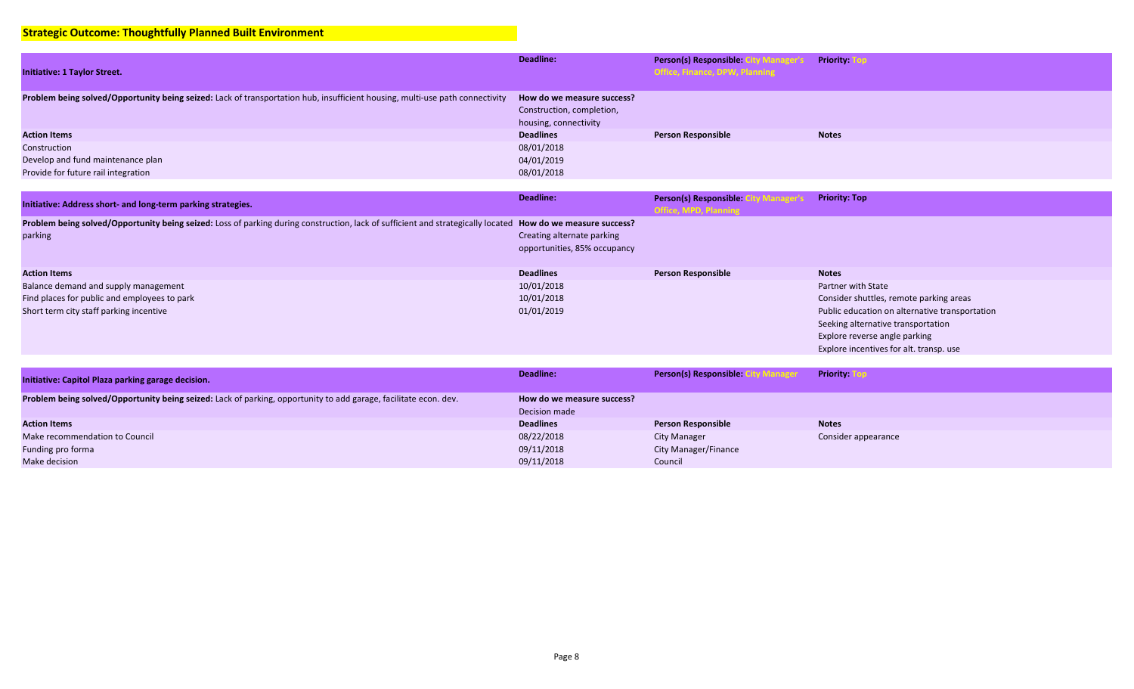### Strategic Outcome: Thoughtfully Planned Built Environment

|                                                                                                                              | Deadline:                  | <b>Person(s) Responsible:</b>         | Priority:    |
|------------------------------------------------------------------------------------------------------------------------------|----------------------------|---------------------------------------|--------------|
| <b>Initiative: 1 Taylor Street.</b>                                                                                          |                            | <b>Office, Finance, DPW, Planning</b> |              |
|                                                                                                                              |                            |                                       |              |
| Problem being solved/Opportunity being seized: Lack of transportation hub, insufficient housing, multi-use path connectivity | How do we measure success? |                                       |              |
|                                                                                                                              | Construction, completion,  |                                       |              |
|                                                                                                                              | housing, connectivity      |                                       |              |
| <b>Action Items</b>                                                                                                          | <b>Deadlines</b>           | <b>Person Responsible</b>             | <b>Notes</b> |
| Construction                                                                                                                 | 08/01/2018                 |                                       |              |
| Develop and fund maintenance plan                                                                                            | 04/01/2019                 |                                       |              |
| Provide for future rail integration                                                                                          | 08/01/2018                 |                                       |              |

| Initiative: Address short- and long-term parking strategies.                                                                                                           | Deadline:                                                  | Person(s) Responsible:<br><b>Office, MPD, Planning</b> | <b>Priority: Top</b>                           |
|------------------------------------------------------------------------------------------------------------------------------------------------------------------------|------------------------------------------------------------|--------------------------------------------------------|------------------------------------------------|
| Problem being solved/Opportunity being seized: Loss of parking during construction, lack of sufficient and strategically located How do we measure success?<br>parking | Creating alternate parking<br>opportunities, 85% occupancy |                                                        |                                                |
| <b>Action Items</b>                                                                                                                                                    | <b>Deadlines</b>                                           | <b>Person Responsible</b>                              | <b>Notes</b>                                   |
| Balance demand and supply management                                                                                                                                   | 10/01/2018                                                 |                                                        | Partner with State                             |
| Find places for public and employees to park                                                                                                                           | 10/01/2018                                                 |                                                        | Consider shuttles, remote parking areas        |
| Short term city staff parking incentive                                                                                                                                | 01/01/2019                                                 |                                                        | Public education on alternative transportation |
|                                                                                                                                                                        |                                                            |                                                        | Seeking alternative transportation             |
|                                                                                                                                                                        |                                                            |                                                        | Explore reverse angle parking                  |
|                                                                                                                                                                        |                                                            |                                                        | Explore incentives for alt. transp. use        |

| Initiative: Capitol Plaza parking garage decision.                                                               | Deadline:                  | Person(s) Responsible:    | <b>Priority:</b>    |
|------------------------------------------------------------------------------------------------------------------|----------------------------|---------------------------|---------------------|
| Problem being solved/Opportunity being seized: Lack of parking, opportunity to add garage, facilitate econ. dev. | How do we measure success? |                           |                     |
|                                                                                                                  | Decision made              |                           |                     |
| <b>Action Items</b>                                                                                              | <b>Deadlines</b>           | <b>Person Responsible</b> | <b>Notes</b>        |
| Make recommendation to Council                                                                                   | 08/22/2018                 | City Manager              | Consider appearance |
| Funding pro forma                                                                                                | 09/11/2018                 | City Manager/Finance      |                     |
| Make decision                                                                                                    | 09/11/2018                 | Council                   |                     |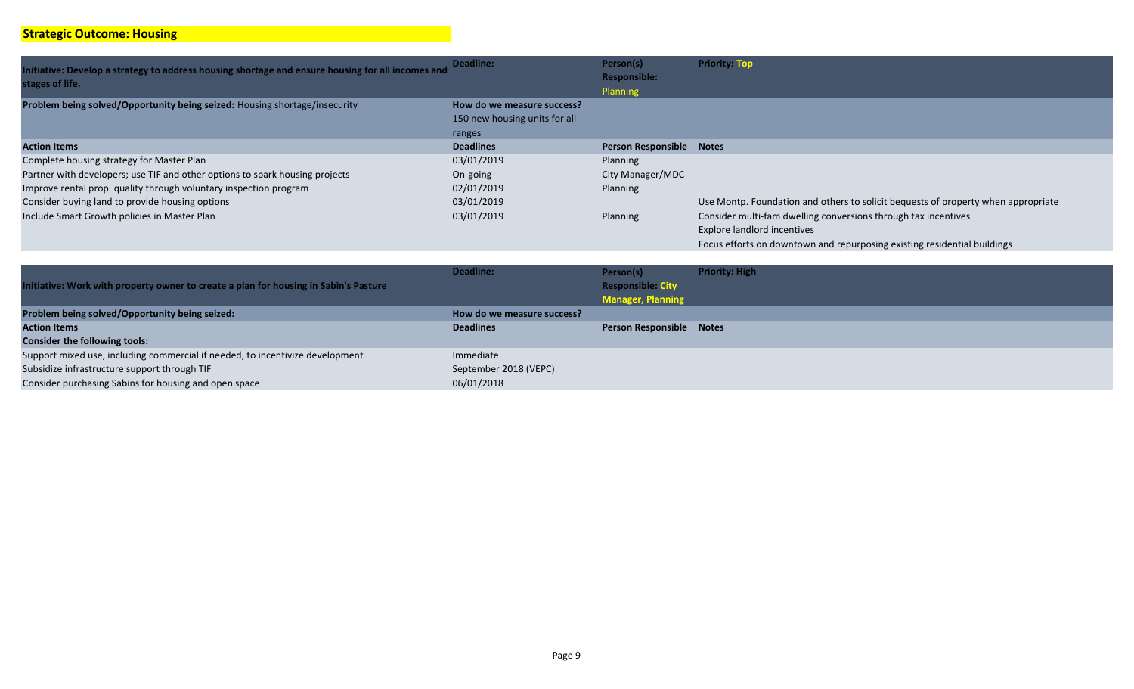# **Strategic Outcome: Housing**

| Initiative: Develop a strategy to address housing shortage and ensure housing for all incomes and<br>stages of life. | Deadline:                                                             | Person(s)<br><b>Responsible:</b><br>Planning | <b>Priority: Top</b>                                                              |
|----------------------------------------------------------------------------------------------------------------------|-----------------------------------------------------------------------|----------------------------------------------|-----------------------------------------------------------------------------------|
| <b>Problem being solved/Opportunity being seized: Housing shortage/insecurity</b>                                    | How do we measure success?<br>150 new housing units for all<br>ranges |                                              |                                                                                   |
| <b>Action Items</b>                                                                                                  | <b>Deadlines</b>                                                      | Person Responsible Notes                     |                                                                                   |
| Complete housing strategy for Master Plan                                                                            | 03/01/2019                                                            | Planning                                     |                                                                                   |
| Partner with developers; use TIF and other options to spark housing projects                                         | On-going                                                              | City Manager/MDC                             |                                                                                   |
| Improve rental prop. quality through voluntary inspection program                                                    | 02/01/2019                                                            | Planning                                     |                                                                                   |
| Consider buying land to provide housing options                                                                      | 03/01/2019                                                            |                                              | Use Montp. Foundation and others to solicit bequests of property when appropriate |
| Include Smart Growth policies in Master Plan                                                                         | 03/01/2019                                                            | Planning                                     | Consider multi-fam dwelling conversions through tax incentives                    |
|                                                                                                                      |                                                                       |                                              | Explore landlord incentives                                                       |
|                                                                                                                      |                                                                       |                                              | Focus efforts on downtown and repurposing existing residential buildings          |
|                                                                                                                      |                                                                       |                                              |                                                                                   |
|                                                                                                                      | <b>Deadline:</b>                                                      | Person(s)                                    | <b>Priority: High</b>                                                             |
| Initiative: Work with property owner to create a plan for housing in Sabin's Pasture                                 |                                                                       | <b>Responsible: City</b>                     |                                                                                   |
|                                                                                                                      |                                                                       | <b>Manager, Planning</b>                     |                                                                                   |
| Problem being solved/Opportunity being seized:                                                                       | How do we measure success?                                            |                                              |                                                                                   |
| <b>Action Items</b>                                                                                                  | <b>Deadlines</b>                                                      | <b>Person Responsible Notes</b>              |                                                                                   |
| <b>Consider the following tools:</b>                                                                                 |                                                                       |                                              |                                                                                   |

Support mixed use, including commercial if needed, to incentivize development Immediate Immediate<br>Subsidize infrastructure support through TIF Subsidize infrastructure support through TIF September 2<br>
Consider purchasing Sabins for housing and open space<br>
06/01/2018 Consider purchasing Sabins for housing and open space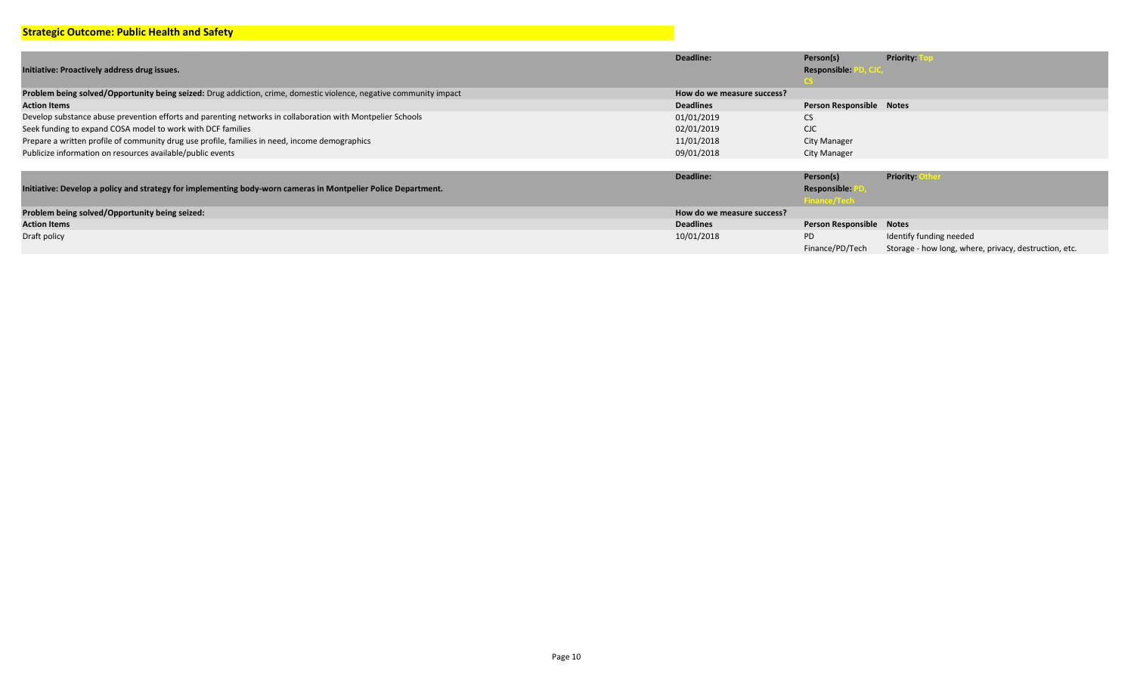#### **Strategic Outcome: Public Health and Safety**

|                                                                                                                    | <b>Deadline:</b>           | Person(s)                | <b>Priority:</b>                                      |
|--------------------------------------------------------------------------------------------------------------------|----------------------------|--------------------------|-------------------------------------------------------|
| Initiative: Proactively address drug issues.                                                                       |                            | Responsible:             |                                                       |
|                                                                                                                    |                            |                          |                                                       |
| Problem being solved/Opportunity being seized: Drug addiction, crime, domestic violence, negative community impact | How do we measure success? |                          |                                                       |
| <b>Action Items</b>                                                                                                | <b>Deadlines</b>           | Person Responsible Notes |                                                       |
| Develop substance abuse prevention efforts and parenting networks in collaboration with Montpelier Schools         | 01/01/2019                 | CS                       |                                                       |
| Seek funding to expand COSA model to work with DCF families                                                        | 02/01/2019                 | <b>CJC</b>               |                                                       |
| Prepare a written profile of community drug use profile, families in need, income demographics                     | 11/01/2018                 | <b>City Manager</b>      |                                                       |
| Publicize information on resources available/public events                                                         | 09/01/2018                 | <b>City Manager</b>      |                                                       |
|                                                                                                                    |                            |                          |                                                       |
|                                                                                                                    | Deadline:                  | Person(s)                | <b>Priority:</b>                                      |
| Initiative: Develop a policy and strategy for implementing body-worn cameras in Montpelier Police Department.      |                            | <b>Responsible:</b>      |                                                       |
|                                                                                                                    |                            |                          |                                                       |
| Problem being solved/Opportunity being seized:                                                                     | How do we measure success? |                          |                                                       |
| <b>Action Items</b>                                                                                                | <b>Deadlines</b>           | Person Responsible Notes |                                                       |
| Draft policy                                                                                                       | 10/01/2018                 | <b>PD</b>                | Identify funding needed                               |
|                                                                                                                    |                            | Finance/PD/Tech          | Storage - how long, where, privacy, destruction, etc. |